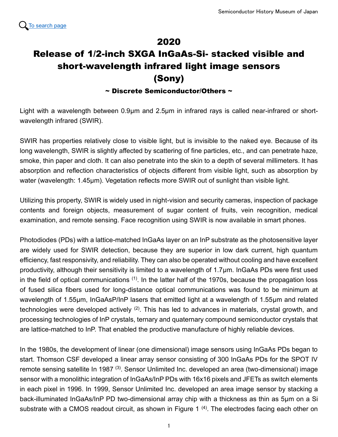

## 2020 Release of 1/2-inch SXGA InGaAs-Si- stacked visible and short-wavelength infrared light image sensors (Sony)

 $\sim$  Discrete Semiconductor/Others  $\sim$ 

Light with a wavelength between 0.9μm and 2.5μm in infrared rays is called near-infrared or shortwavelength infrared (SWIR).

SWIR has properties relatively close to visible light, but is invisible to the naked eye. Because of its long wavelength, SWIR is slightly affected by scattering of fine particles, etc., and can penetrate haze, smoke, thin paper and cloth. It can also penetrate into the skin to a depth of several millimeters. It has absorption and reflection characteristics of objects different from visible light, such as absorption by water (wavelength: 1.45μm). Vegetation reflects more SWIR out of sunlight than visible light.

Utilizing this property, SWIR is widely used in night-vision and security cameras, inspection of package contents and foreign objects, measurement of sugar content of fruits, vein recognition, medical examination, and remote sensing. Face recognition using SWIR is now available in smart phones.

Photodiodes (PDs) with a lattice-matched InGaAs layer on an InP substrate as the photosensitive layer are widely used for SWIR detection, because they are superior in low dark current, high quantum efficiency, fast responsivity, and reliability. They can also be operated without cooling and have excellent productivity, although their sensitivity is limited to a wavelength of 1.7μm. InGaAs PDs were first used in the field of optical communications  $(1)$ . In the latter half of the 1970s, because the propagation loss of fused silica fibers used for long-distance optical communications was found to be minimum at wavelength of 1.55μm, InGaAsP/InP lasers that emitted light at a wavelength of 1.55μm and related technologies were developed actively <sup>(2)</sup>. This has led to advances in materials, crystal growth, and processing technologies of InP crystals, ternary and quaternary compound semiconductor crystals that are lattice-matched to InP. That enabled the productive manufacture of highly reliable devices.

In the 1980s, the development of linear (one dimensional) image sensors using InGaAs PDs began to start. Thomson CSF developed a linear array sensor consisting of 300 InGaAs PDs for the SPOT IV remote sensing satellite In 1987 <sup>(3)</sup>. Sensor Unlimited Inc. developed an area (two-dimensional) image sensor with a monolithic integration of InGaAs/InP PDs with 16x16 pixels and JFETs as switch elements in each pixel in 1996. In 1999, Sensor Unlimited Inc. developed an area image sensor by stacking a back-illuminated InGaAs/InP PD two-dimensional array chip with a thickness as thin as 5μm on a Si substrate with a CMOS readout circuit, as shown in Figure 1  $^{(4)}$ . The electrodes facing each other on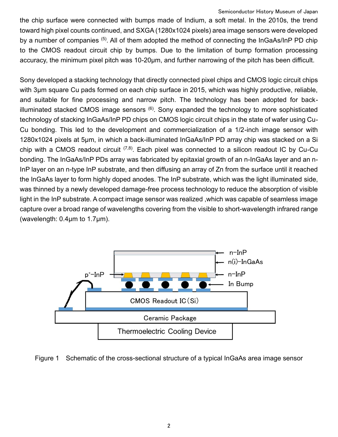## Semiconductor History Museum of Japan

the chip surface were connected with bumps made of Indium, a soft metal. In the 2010s, the trend toward high pixel counts continued, and SXGA (1280x1024 pixels) area image sensors were developed by a number of companies <sup>(5)</sup>. All of them adopted the method of connecting the InGaAs/InP PD chip to the CMOS readout circuit chip by bumps. Due to the limitation of bump formation processing accuracy, the minimum pixel pitch was 10-20μm, and further narrowing of the pitch has been difficult.

Sony developed a stacking technology that directly connected pixel chips and CMOS logic circuit chips with 3μm square Cu pads formed on each chip surface in 2015, which was highly productive, reliable, and suitable for fine processing and narrow pitch. The technology has been adopted for backilluminated stacked CMOS image sensors  $^{(6)}$ . Sony expanded the technology to more sophisticated technology of stacking InGaAs/InP PD chips on CMOS logic circuit chips in the state of wafer using Cu-Cu bonding. This led to the development and commercialization of a 1/2-inch image sensor with 1280x1024 pixels at 5μm, in which a back-illuminated InGaAs/InP PD array chip was stacked on a Si chip with a CMOS readout circuit  $(7,8)$ . Each pixel was connected to a silicon readout IC by Cu-Cu bonding. The InGaAs/InP PDs array was fabricated by epitaxial growth of an n-InGaAs layer and an n-InP layer on an n-type InP substrate, and then diffusing an array of Zn from the surface until it reached the InGaAs layer to form highly doped anodes. The InP substrate, which was the light illuminated side, was thinned by a newly developed damage-free process technology to reduce the absorption of visible light in the InP substrate. A compact image sensor was realized ,which was capable of seamless image capture over a broad range of wavelengths covering from the visible to short-wavelength infrared range (wavelength: 0.4μm to 1.7μm).



Figure 1 Schematic of the cross-sectional structure of a typical InGaAs area image sensor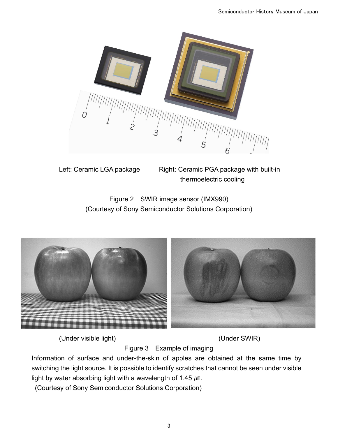

Left: Ceramic LGA package Right: Ceramic PGA package with built-in thermoelectric cooling

> Figure 2 SWIR image sensor (IMX990) (Courtesy of Sony Semiconductor Solutions Corporation)



(Under visible light) (Under SWIR)

Figure 3 Example of imaging

Information of surface and under-the-skin of apples are obtained at the same time by switching the light source. It is possible to identify scratches that cannot be seen under visible light by water absorbing light with a wavelength of 1.45  $\mu$ m.

(Courtesy of Sony Semiconductor Solutions Corporation)